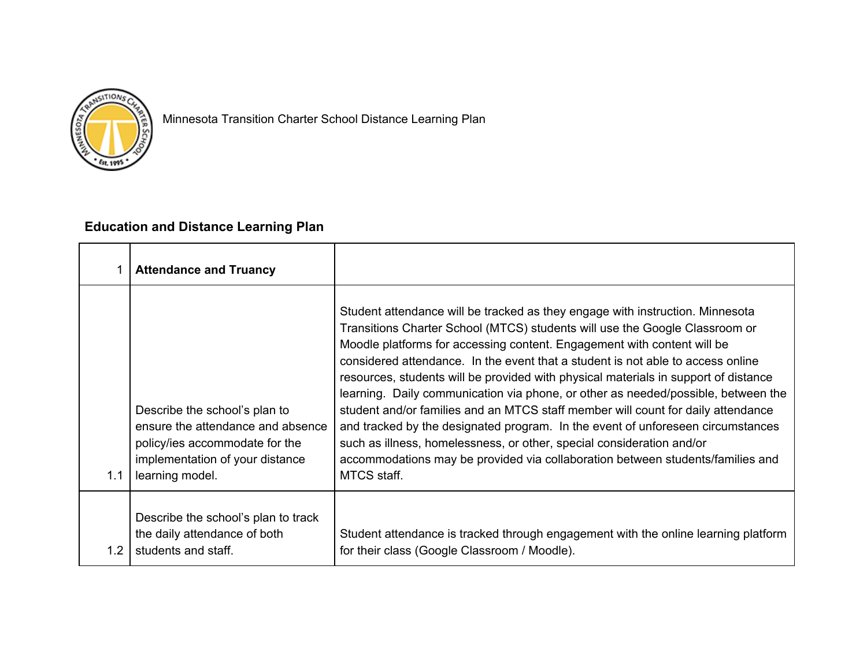

Minnesota Transition Charter School Distance Learning Plan

## **Education and Distance Learning Plan**

|                  | <b>Attendance and Truancy</b>                                                                                                                              |                                                                                                                                                                                                                                                                                                                                                                                                                                                                                                                                                                                                                                                                                                                                                                                                                                                         |
|------------------|------------------------------------------------------------------------------------------------------------------------------------------------------------|---------------------------------------------------------------------------------------------------------------------------------------------------------------------------------------------------------------------------------------------------------------------------------------------------------------------------------------------------------------------------------------------------------------------------------------------------------------------------------------------------------------------------------------------------------------------------------------------------------------------------------------------------------------------------------------------------------------------------------------------------------------------------------------------------------------------------------------------------------|
| 1.1              | Describe the school's plan to<br>ensure the attendance and absence<br>policy/ies accommodate for the<br>implementation of your distance<br>learning model. | Student attendance will be tracked as they engage with instruction. Minnesota<br>Transitions Charter School (MTCS) students will use the Google Classroom or<br>Moodle platforms for accessing content. Engagement with content will be<br>considered attendance. In the event that a student is not able to access online<br>resources, students will be provided with physical materials in support of distance<br>learning. Daily communication via phone, or other as needed/possible, between the<br>student and/or families and an MTCS staff member will count for daily attendance<br>and tracked by the designated program. In the event of unforeseen circumstances<br>such as illness, homelessness, or other, special consideration and/or<br>accommodations may be provided via collaboration between students/families and<br>MTCS staff. |
| 1.2 <sub>1</sub> | Describe the school's plan to track<br>the daily attendance of both<br>students and staff.                                                                 | Student attendance is tracked through engagement with the online learning platform<br>for their class (Google Classroom / Moodle).                                                                                                                                                                                                                                                                                                                                                                                                                                                                                                                                                                                                                                                                                                                      |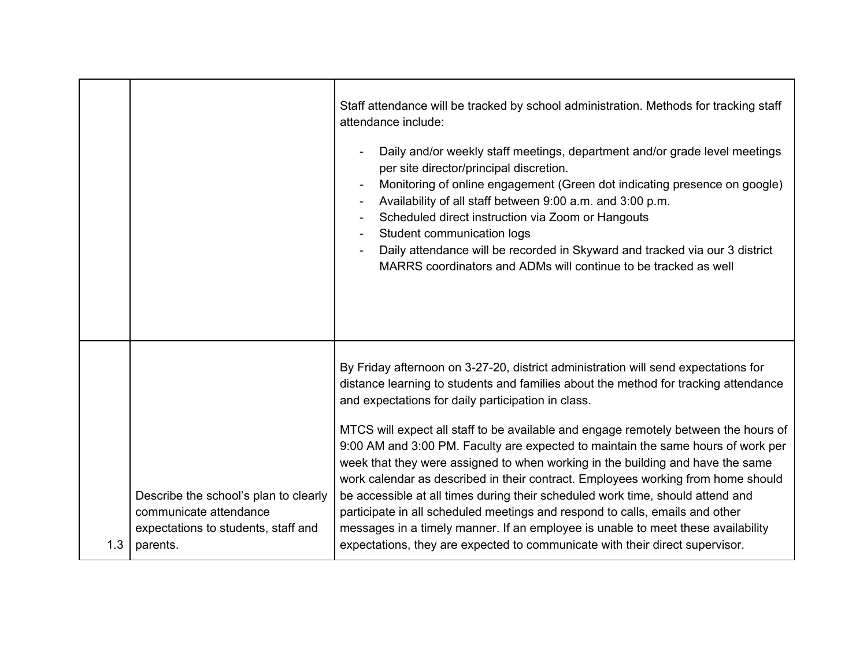|     |                                                                                                                    | Staff attendance will be tracked by school administration. Methods for tracking staff<br>attendance include:<br>Daily and/or weekly staff meetings, department and/or grade level meetings<br>per site director/principal discretion.<br>Monitoring of online engagement (Green dot indicating presence on google)<br>Availability of all staff between 9:00 a.m. and 3:00 p.m.<br>$\overline{\phantom{a}}$<br>Scheduled direct instruction via Zoom or Hangouts<br>Student communication logs<br>Daily attendance will be recorded in Skyward and tracked via our 3 district<br>MARRS coordinators and ADMs will continue to be tracked as well                                                                                                                                                                                                                                                                       |
|-----|--------------------------------------------------------------------------------------------------------------------|------------------------------------------------------------------------------------------------------------------------------------------------------------------------------------------------------------------------------------------------------------------------------------------------------------------------------------------------------------------------------------------------------------------------------------------------------------------------------------------------------------------------------------------------------------------------------------------------------------------------------------------------------------------------------------------------------------------------------------------------------------------------------------------------------------------------------------------------------------------------------------------------------------------------|
| 1.3 | Describe the school's plan to clearly<br>communicate attendance<br>expectations to students, staff and<br>parents. | By Friday afternoon on 3-27-20, district administration will send expectations for<br>distance learning to students and families about the method for tracking attendance<br>and expectations for daily participation in class.<br>MTCS will expect all staff to be available and engage remotely between the hours of<br>9:00 AM and 3:00 PM. Faculty are expected to maintain the same hours of work per<br>week that they were assigned to when working in the building and have the same<br>work calendar as described in their contract. Employees working from home should<br>be accessible at all times during their scheduled work time, should attend and<br>participate in all scheduled meetings and respond to calls, emails and other<br>messages in a timely manner. If an employee is unable to meet these availability<br>expectations, they are expected to communicate with their direct supervisor. |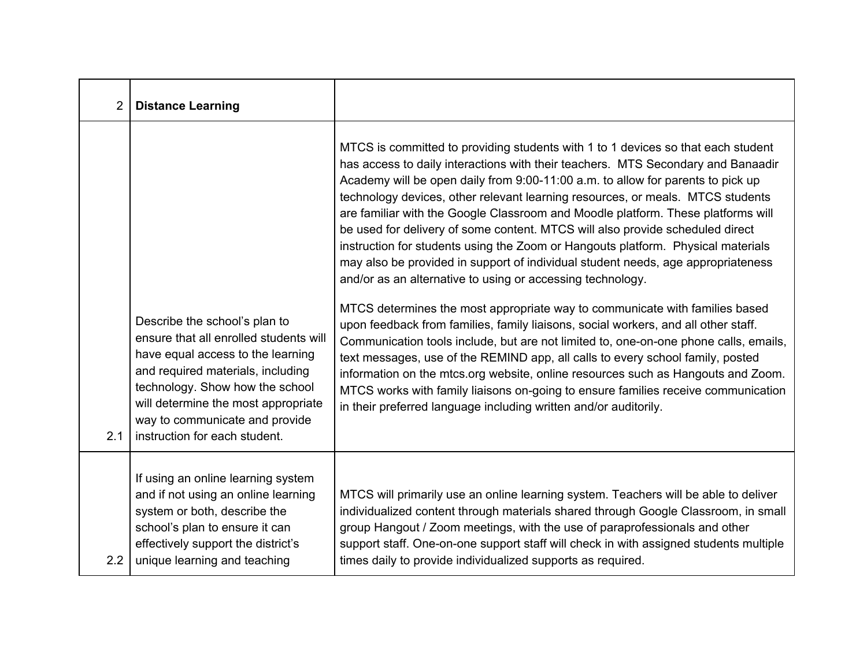| $\overline{2}$ | <b>Distance Learning</b>                                                                                                                                                                                                                                                                       |                                                                                                                                                                                                                                                                                                                                                                                                                                                                                                                                                                                                                                                                                                                                                                                                                                                                                                                                                                                                                                                                                                                                                                                                                                                                                                                                                  |
|----------------|------------------------------------------------------------------------------------------------------------------------------------------------------------------------------------------------------------------------------------------------------------------------------------------------|--------------------------------------------------------------------------------------------------------------------------------------------------------------------------------------------------------------------------------------------------------------------------------------------------------------------------------------------------------------------------------------------------------------------------------------------------------------------------------------------------------------------------------------------------------------------------------------------------------------------------------------------------------------------------------------------------------------------------------------------------------------------------------------------------------------------------------------------------------------------------------------------------------------------------------------------------------------------------------------------------------------------------------------------------------------------------------------------------------------------------------------------------------------------------------------------------------------------------------------------------------------------------------------------------------------------------------------------------|
| 2.1            | Describe the school's plan to<br>ensure that all enrolled students will<br>have equal access to the learning<br>and required materials, including<br>technology. Show how the school<br>will determine the most appropriate<br>way to communicate and provide<br>instruction for each student. | MTCS is committed to providing students with 1 to 1 devices so that each student<br>has access to daily interactions with their teachers. MTS Secondary and Banaadir<br>Academy will be open daily from 9:00-11:00 a.m. to allow for parents to pick up<br>technology devices, other relevant learning resources, or meals. MTCS students<br>are familiar with the Google Classroom and Moodle platform. These platforms will<br>be used for delivery of some content. MTCS will also provide scheduled direct<br>instruction for students using the Zoom or Hangouts platform. Physical materials<br>may also be provided in support of individual student needs, age appropriateness<br>and/or as an alternative to using or accessing technology.<br>MTCS determines the most appropriate way to communicate with families based<br>upon feedback from families, family liaisons, social workers, and all other staff.<br>Communication tools include, but are not limited to, one-on-one phone calls, emails,<br>text messages, use of the REMIND app, all calls to every school family, posted<br>information on the mtcs.org website, online resources such as Hangouts and Zoom.<br>MTCS works with family liaisons on-going to ensure families receive communication<br>in their preferred language including written and/or auditorily. |
| 2.2            | If using an online learning system<br>and if not using an online learning<br>system or both, describe the<br>school's plan to ensure it can<br>effectively support the district's<br>unique learning and teaching                                                                              | MTCS will primarily use an online learning system. Teachers will be able to deliver<br>individualized content through materials shared through Google Classroom, in small<br>group Hangout / Zoom meetings, with the use of paraprofessionals and other<br>support staff. One-on-one support staff will check in with assigned students multiple<br>times daily to provide individualized supports as required.                                                                                                                                                                                                                                                                                                                                                                                                                                                                                                                                                                                                                                                                                                                                                                                                                                                                                                                                  |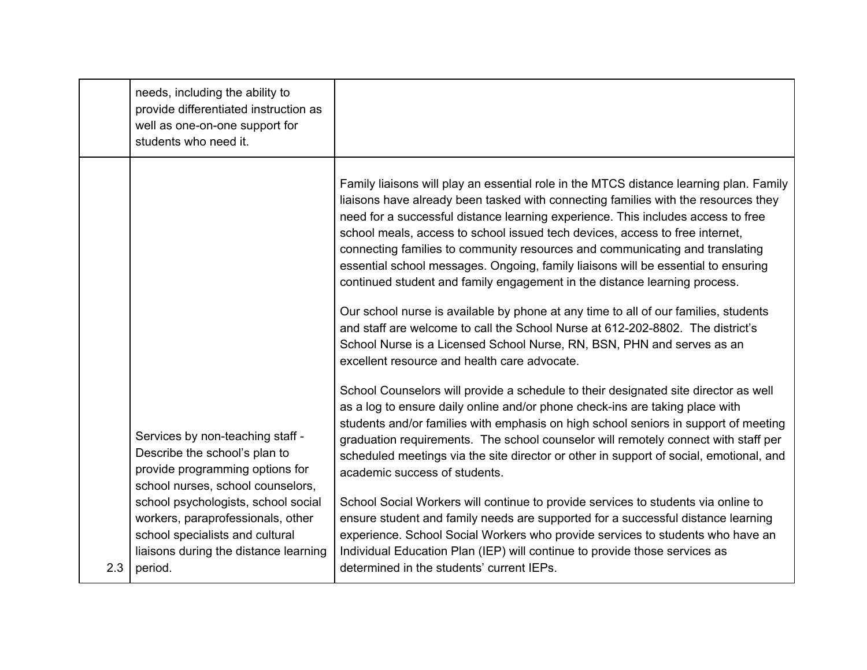|     | needs, including the ability to<br>provide differentiated instruction as<br>well as one-on-one support for<br>students who need it.                                              |                                                                                                                                                                                                                                                                                                                                                                                                                                                                                                                                                                                                                                                                                                                                                                                                                                                                                                                                                                                                                                                                                                                                                                                                                                                                                                                                                                                                                                                                           |
|-----|----------------------------------------------------------------------------------------------------------------------------------------------------------------------------------|---------------------------------------------------------------------------------------------------------------------------------------------------------------------------------------------------------------------------------------------------------------------------------------------------------------------------------------------------------------------------------------------------------------------------------------------------------------------------------------------------------------------------------------------------------------------------------------------------------------------------------------------------------------------------------------------------------------------------------------------------------------------------------------------------------------------------------------------------------------------------------------------------------------------------------------------------------------------------------------------------------------------------------------------------------------------------------------------------------------------------------------------------------------------------------------------------------------------------------------------------------------------------------------------------------------------------------------------------------------------------------------------------------------------------------------------------------------------------|
|     | Services by non-teaching staff -<br>Describe the school's plan to<br>provide programming options for<br>school nurses, school counselors,<br>school psychologists, school social | Family liaisons will play an essential role in the MTCS distance learning plan. Family<br>liaisons have already been tasked with connecting families with the resources they<br>need for a successful distance learning experience. This includes access to free<br>school meals, access to school issued tech devices, access to free internet,<br>connecting families to community resources and communicating and translating<br>essential school messages. Ongoing, family liaisons will be essential to ensuring<br>continued student and family engagement in the distance learning process.<br>Our school nurse is available by phone at any time to all of our families, students<br>and staff are welcome to call the School Nurse at 612-202-8802. The district's<br>School Nurse is a Licensed School Nurse, RN, BSN, PHN and serves as an<br>excellent resource and health care advocate.<br>School Counselors will provide a schedule to their designated site director as well<br>as a log to ensure daily online and/or phone check-ins are taking place with<br>students and/or families with emphasis on high school seniors in support of meeting<br>graduation requirements. The school counselor will remotely connect with staff per<br>scheduled meetings via the site director or other in support of social, emotional, and<br>academic success of students.<br>School Social Workers will continue to provide services to students via online to |
| 2.3 | workers, paraprofessionals, other<br>school specialists and cultural<br>liaisons during the distance learning<br>period.                                                         | ensure student and family needs are supported for a successful distance learning<br>experience. School Social Workers who provide services to students who have an<br>Individual Education Plan (IEP) will continue to provide those services as<br>determined in the students' current IEPs.                                                                                                                                                                                                                                                                                                                                                                                                                                                                                                                                                                                                                                                                                                                                                                                                                                                                                                                                                                                                                                                                                                                                                                             |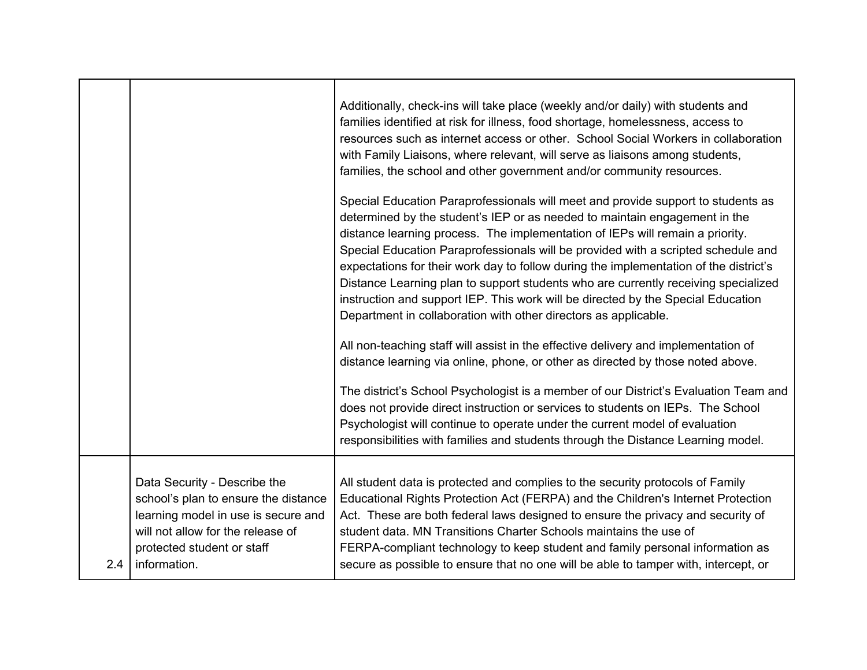|     |                                                                                                                                                                                                | Additionally, check-ins will take place (weekly and/or daily) with students and<br>families identified at risk for illness, food shortage, homelessness, access to<br>resources such as internet access or other. School Social Workers in collaboration<br>with Family Liaisons, where relevant, will serve as liaisons among students,<br>families, the school and other government and/or community resources.                                                                                                                                                                                                                                                          |
|-----|------------------------------------------------------------------------------------------------------------------------------------------------------------------------------------------------|----------------------------------------------------------------------------------------------------------------------------------------------------------------------------------------------------------------------------------------------------------------------------------------------------------------------------------------------------------------------------------------------------------------------------------------------------------------------------------------------------------------------------------------------------------------------------------------------------------------------------------------------------------------------------|
|     |                                                                                                                                                                                                | Special Education Paraprofessionals will meet and provide support to students as<br>determined by the student's IEP or as needed to maintain engagement in the<br>distance learning process. The implementation of IEPs will remain a priority.<br>Special Education Paraprofessionals will be provided with a scripted schedule and<br>expectations for their work day to follow during the implementation of the district's<br>Distance Learning plan to support students who are currently receiving specialized<br>instruction and support IEP. This work will be directed by the Special Education<br>Department in collaboration with other directors as applicable. |
|     |                                                                                                                                                                                                | All non-teaching staff will assist in the effective delivery and implementation of<br>distance learning via online, phone, or other as directed by those noted above.                                                                                                                                                                                                                                                                                                                                                                                                                                                                                                      |
|     |                                                                                                                                                                                                | The district's School Psychologist is a member of our District's Evaluation Team and<br>does not provide direct instruction or services to students on IEPs. The School<br>Psychologist will continue to operate under the current model of evaluation<br>responsibilities with families and students through the Distance Learning model.                                                                                                                                                                                                                                                                                                                                 |
| 2.4 | Data Security - Describe the<br>school's plan to ensure the distance<br>learning model in use is secure and<br>will not allow for the release of<br>protected student or staff<br>information. | All student data is protected and complies to the security protocols of Family<br>Educational Rights Protection Act (FERPA) and the Children's Internet Protection<br>Act. These are both federal laws designed to ensure the privacy and security of<br>student data. MN Transitions Charter Schools maintains the use of<br>FERPA-compliant technology to keep student and family personal information as<br>secure as possible to ensure that no one will be able to tamper with, intercept, or                                                                                                                                                                         |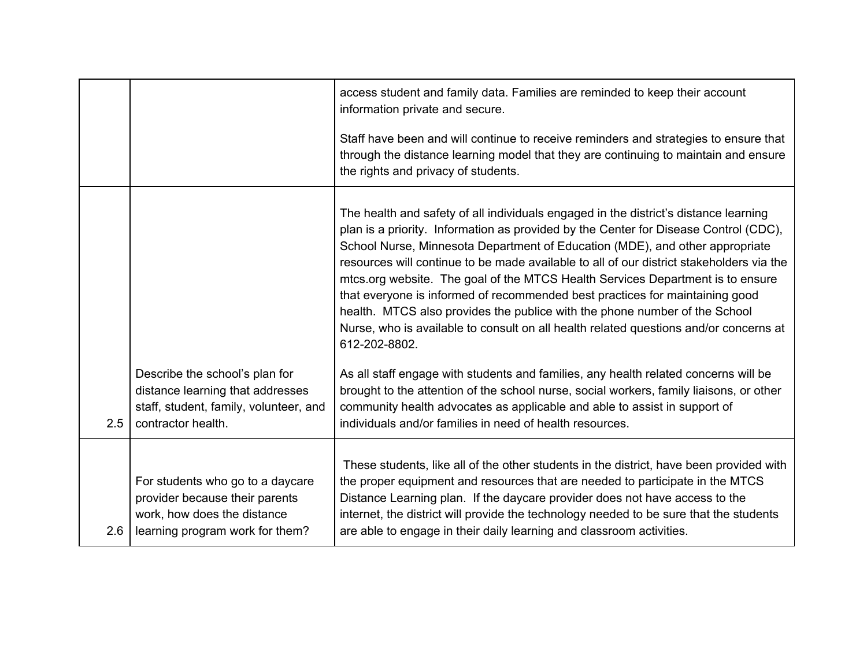|     |                                                                                                                                      | access student and family data. Families are reminded to keep their account<br>information private and secure.                                                                                                                                                                                                                                                                                                                                                                                                                                                                                                                                                                                                     |
|-----|--------------------------------------------------------------------------------------------------------------------------------------|--------------------------------------------------------------------------------------------------------------------------------------------------------------------------------------------------------------------------------------------------------------------------------------------------------------------------------------------------------------------------------------------------------------------------------------------------------------------------------------------------------------------------------------------------------------------------------------------------------------------------------------------------------------------------------------------------------------------|
|     |                                                                                                                                      | Staff have been and will continue to receive reminders and strategies to ensure that<br>through the distance learning model that they are continuing to maintain and ensure<br>the rights and privacy of students.                                                                                                                                                                                                                                                                                                                                                                                                                                                                                                 |
|     |                                                                                                                                      | The health and safety of all individuals engaged in the district's distance learning<br>plan is a priority. Information as provided by the Center for Disease Control (CDC),<br>School Nurse, Minnesota Department of Education (MDE), and other appropriate<br>resources will continue to be made available to all of our district stakeholders via the<br>mtcs.org website. The goal of the MTCS Health Services Department is to ensure<br>that everyone is informed of recommended best practices for maintaining good<br>health. MTCS also provides the publice with the phone number of the School<br>Nurse, who is available to consult on all health related questions and/or concerns at<br>612-202-8802. |
| 2.5 | Describe the school's plan for<br>distance learning that addresses<br>staff, student, family, volunteer, and<br>contractor health.   | As all staff engage with students and families, any health related concerns will be<br>brought to the attention of the school nurse, social workers, family liaisons, or other<br>community health advocates as applicable and able to assist in support of<br>individuals and/or families in need of health resources.                                                                                                                                                                                                                                                                                                                                                                                            |
| 2.6 | For students who go to a daycare<br>provider because their parents<br>work, how does the distance<br>learning program work for them? | These students, like all of the other students in the district, have been provided with<br>the proper equipment and resources that are needed to participate in the MTCS<br>Distance Learning plan. If the daycare provider does not have access to the<br>internet, the district will provide the technology needed to be sure that the students<br>are able to engage in their daily learning and classroom activities.                                                                                                                                                                                                                                                                                          |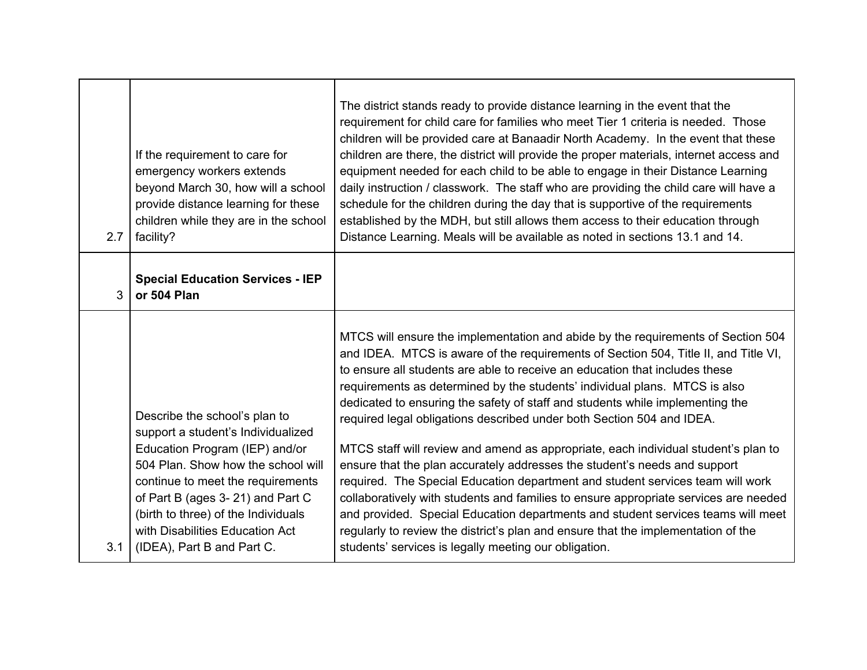| 2.7 | If the requirement to care for<br>emergency workers extends<br>beyond March 30, how will a school<br>provide distance learning for these<br>children while they are in the school<br>facility?                                                                                                                               | The district stands ready to provide distance learning in the event that the<br>requirement for child care for families who meet Tier 1 criteria is needed. Those<br>children will be provided care at Banaadir North Academy. In the event that these<br>children are there, the district will provide the proper materials, internet access and<br>equipment needed for each child to be able to engage in their Distance Learning<br>daily instruction / classwork. The staff who are providing the child care will have a<br>schedule for the children during the day that is supportive of the requirements<br>established by the MDH, but still allows them access to their education through<br>Distance Learning. Meals will be available as noted in sections 13.1 and 14.                                                                                                                                                                                                                                                                                           |
|-----|------------------------------------------------------------------------------------------------------------------------------------------------------------------------------------------------------------------------------------------------------------------------------------------------------------------------------|-------------------------------------------------------------------------------------------------------------------------------------------------------------------------------------------------------------------------------------------------------------------------------------------------------------------------------------------------------------------------------------------------------------------------------------------------------------------------------------------------------------------------------------------------------------------------------------------------------------------------------------------------------------------------------------------------------------------------------------------------------------------------------------------------------------------------------------------------------------------------------------------------------------------------------------------------------------------------------------------------------------------------------------------------------------------------------|
| 3   | <b>Special Education Services - IEP</b><br>or 504 Plan                                                                                                                                                                                                                                                                       |                                                                                                                                                                                                                                                                                                                                                                                                                                                                                                                                                                                                                                                                                                                                                                                                                                                                                                                                                                                                                                                                               |
| 3.1 | Describe the school's plan to<br>support a student's Individualized<br>Education Program (IEP) and/or<br>504 Plan. Show how the school will<br>continue to meet the requirements<br>of Part B (ages 3-21) and Part C<br>(birth to three) of the Individuals<br>with Disabilities Education Act<br>(IDEA), Part B and Part C. | MTCS will ensure the implementation and abide by the requirements of Section 504<br>and IDEA. MTCS is aware of the requirements of Section 504, Title II, and Title VI,<br>to ensure all students are able to receive an education that includes these<br>requirements as determined by the students' individual plans. MTCS is also<br>dedicated to ensuring the safety of staff and students while implementing the<br>required legal obligations described under both Section 504 and IDEA.<br>MTCS staff will review and amend as appropriate, each individual student's plan to<br>ensure that the plan accurately addresses the student's needs and support<br>required. The Special Education department and student services team will work<br>collaboratively with students and families to ensure appropriate services are needed<br>and provided. Special Education departments and student services teams will meet<br>regularly to review the district's plan and ensure that the implementation of the<br>students' services is legally meeting our obligation. |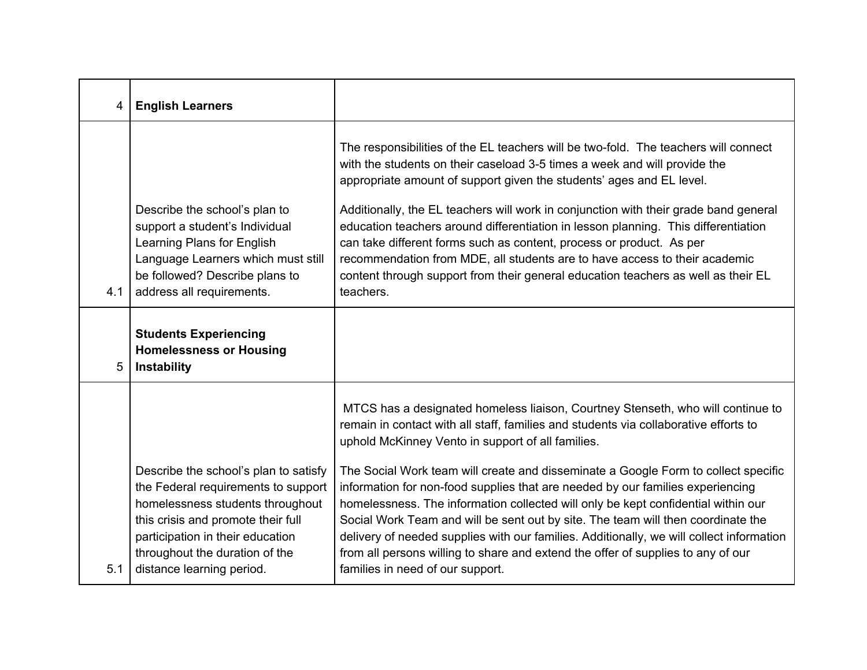| 4   | <b>English Learners</b>                                                                                                                                                                            |                                                                                                                                                                                                                                                                                                                                                                                                                                                                                                                                                                                                                                                                                |
|-----|----------------------------------------------------------------------------------------------------------------------------------------------------------------------------------------------------|--------------------------------------------------------------------------------------------------------------------------------------------------------------------------------------------------------------------------------------------------------------------------------------------------------------------------------------------------------------------------------------------------------------------------------------------------------------------------------------------------------------------------------------------------------------------------------------------------------------------------------------------------------------------------------|
| 4.1 | Describe the school's plan to<br>support a student's Individual<br>Learning Plans for English<br>Language Learners which must still<br>be followed? Describe plans to<br>address all requirements. | The responsibilities of the EL teachers will be two-fold. The teachers will connect<br>with the students on their caseload 3-5 times a week and will provide the<br>appropriate amount of support given the students' ages and EL level.<br>Additionally, the EL teachers will work in conjunction with their grade band general<br>education teachers around differentiation in lesson planning. This differentiation<br>can take different forms such as content, process or product. As per<br>recommendation from MDE, all students are to have access to their academic<br>content through support from their general education teachers as well as their EL<br>teachers. |
| 5   | <b>Students Experiencing</b><br><b>Homelessness or Housing</b><br>Instability                                                                                                                      |                                                                                                                                                                                                                                                                                                                                                                                                                                                                                                                                                                                                                                                                                |
|     | Describe the school's plan to satisfy<br>the Federal requirements to support                                                                                                                       | MTCS has a designated homeless liaison, Courtney Stenseth, who will continue to<br>remain in contact with all staff, families and students via collaborative efforts to<br>uphold McKinney Vento in support of all families.<br>The Social Work team will create and disseminate a Google Form to collect specific<br>information for non-food supplies that are needed by our families experiencing                                                                                                                                                                                                                                                                           |
| 5.1 | homelessness students throughout<br>this crisis and promote their full<br>participation in their education<br>throughout the duration of the<br>distance learning period.                          | homelessness. The information collected will only be kept confidential within our<br>Social Work Team and will be sent out by site. The team will then coordinate the<br>delivery of needed supplies with our families. Additionally, we will collect information<br>from all persons willing to share and extend the offer of supplies to any of our<br>families in need of our support.                                                                                                                                                                                                                                                                                      |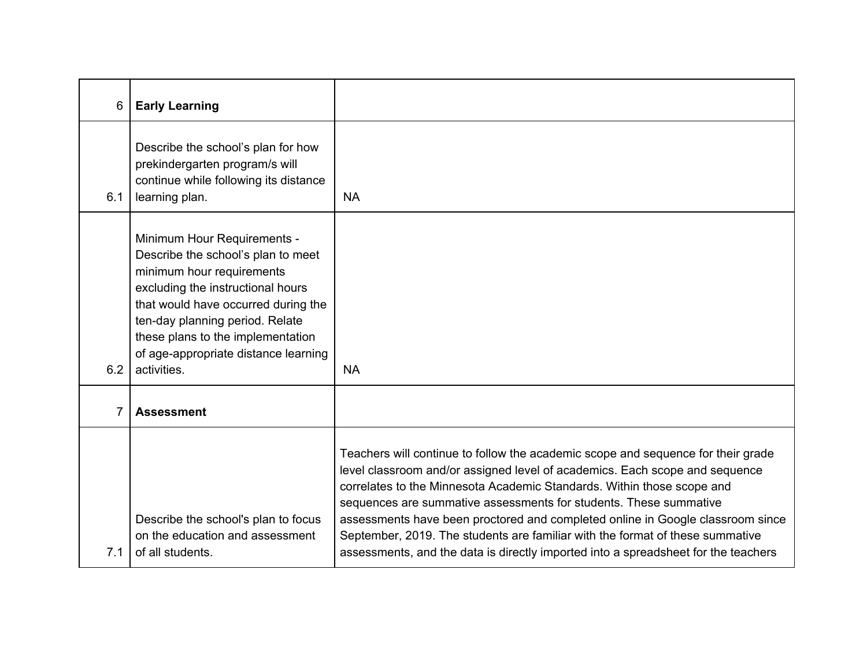| 6   | <b>Early Learning</b>                                                                                                                                                                                                                                                                                     |                                                                                                                                                                                                                                                                                                                                                                                                                                                                                                                                                                         |
|-----|-----------------------------------------------------------------------------------------------------------------------------------------------------------------------------------------------------------------------------------------------------------------------------------------------------------|-------------------------------------------------------------------------------------------------------------------------------------------------------------------------------------------------------------------------------------------------------------------------------------------------------------------------------------------------------------------------------------------------------------------------------------------------------------------------------------------------------------------------------------------------------------------------|
| 6.1 | Describe the school's plan for how<br>prekindergarten program/s will<br>continue while following its distance<br>learning plan.                                                                                                                                                                           | <b>NA</b>                                                                                                                                                                                                                                                                                                                                                                                                                                                                                                                                                               |
| 6.2 | Minimum Hour Requirements -<br>Describe the school's plan to meet<br>minimum hour requirements<br>excluding the instructional hours<br>that would have occurred during the<br>ten-day planning period. Relate<br>these plans to the implementation<br>of age-appropriate distance learning<br>activities. | <b>NA</b>                                                                                                                                                                                                                                                                                                                                                                                                                                                                                                                                                               |
| 7   | <b>Assessment</b>                                                                                                                                                                                                                                                                                         |                                                                                                                                                                                                                                                                                                                                                                                                                                                                                                                                                                         |
| 7.1 | Describe the school's plan to focus<br>on the education and assessment<br>of all students.                                                                                                                                                                                                                | Teachers will continue to follow the academic scope and sequence for their grade<br>level classroom and/or assigned level of academics. Each scope and sequence<br>correlates to the Minnesota Academic Standards. Within those scope and<br>sequences are summative assessments for students. These summative<br>assessments have been proctored and completed online in Google classroom since<br>September, 2019. The students are familiar with the format of these summative<br>assessments, and the data is directly imported into a spreadsheet for the teachers |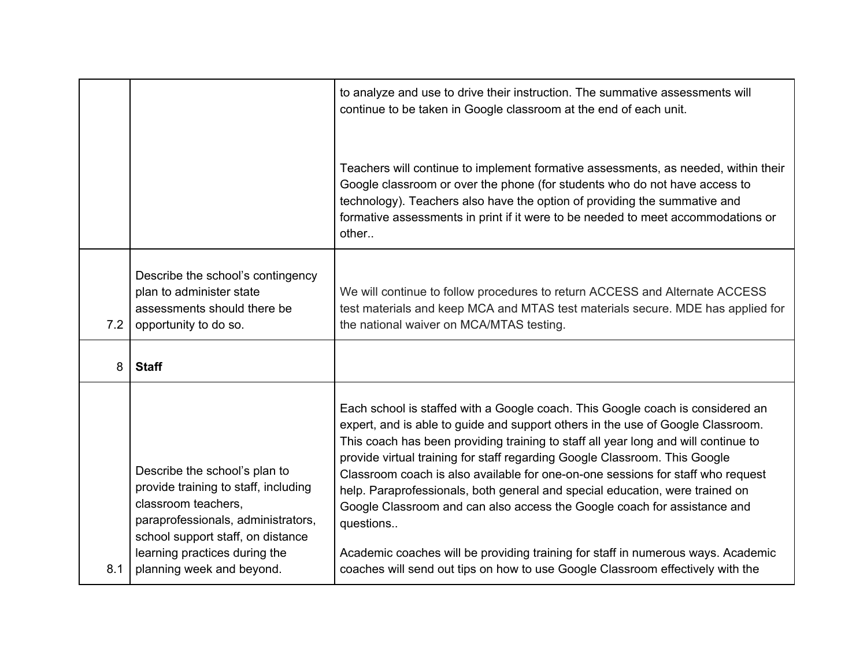|     |                                                                                                                                                                                                                                       | to analyze and use to drive their instruction. The summative assessments will<br>continue to be taken in Google classroom at the end of each unit.                                                                                                                                                                                                                                                                                                                                                                                                                                                                                                                                                                                                                      |
|-----|---------------------------------------------------------------------------------------------------------------------------------------------------------------------------------------------------------------------------------------|-------------------------------------------------------------------------------------------------------------------------------------------------------------------------------------------------------------------------------------------------------------------------------------------------------------------------------------------------------------------------------------------------------------------------------------------------------------------------------------------------------------------------------------------------------------------------------------------------------------------------------------------------------------------------------------------------------------------------------------------------------------------------|
|     |                                                                                                                                                                                                                                       | Teachers will continue to implement formative assessments, as needed, within their<br>Google classroom or over the phone (for students who do not have access to<br>technology). Teachers also have the option of providing the summative and<br>formative assessments in print if it were to be needed to meet accommodations or<br>other                                                                                                                                                                                                                                                                                                                                                                                                                              |
| 7.2 | Describe the school's contingency<br>plan to administer state<br>assessments should there be<br>opportunity to do so.                                                                                                                 | We will continue to follow procedures to return ACCESS and Alternate ACCESS<br>test materials and keep MCA and MTAS test materials secure. MDE has applied for<br>the national waiver on MCA/MTAS testing.                                                                                                                                                                                                                                                                                                                                                                                                                                                                                                                                                              |
| 8   | <b>Staff</b>                                                                                                                                                                                                                          |                                                                                                                                                                                                                                                                                                                                                                                                                                                                                                                                                                                                                                                                                                                                                                         |
| 8.1 | Describe the school's plan to<br>provide training to staff, including<br>classroom teachers,<br>paraprofessionals, administrators,<br>school support staff, on distance<br>learning practices during the<br>planning week and beyond. | Each school is staffed with a Google coach. This Google coach is considered an<br>expert, and is able to guide and support others in the use of Google Classroom.<br>This coach has been providing training to staff all year long and will continue to<br>provide virtual training for staff regarding Google Classroom. This Google<br>Classroom coach is also available for one-on-one sessions for staff who request<br>help. Paraprofessionals, both general and special education, were trained on<br>Google Classroom and can also access the Google coach for assistance and<br>questions<br>Academic coaches will be providing training for staff in numerous ways. Academic<br>coaches will send out tips on how to use Google Classroom effectively with the |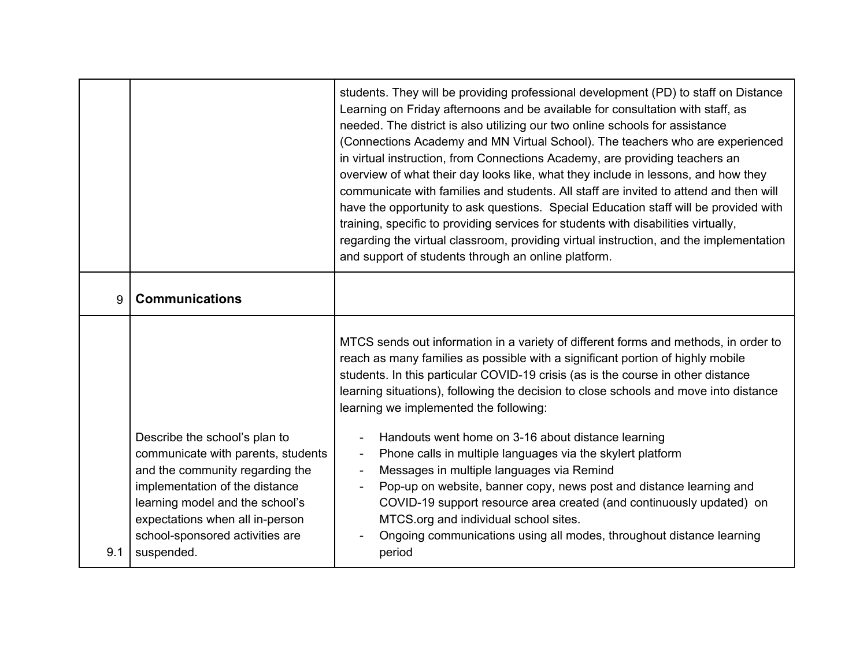|     |                                                                                                                                                                                                                                                                 | students. They will be providing professional development (PD) to staff on Distance<br>Learning on Friday afternoons and be available for consultation with staff, as<br>needed. The district is also utilizing our two online schools for assistance<br>(Connections Academy and MN Virtual School). The teachers who are experienced<br>in virtual instruction, from Connections Academy, are providing teachers an<br>overview of what their day looks like, what they include in lessons, and how they<br>communicate with families and students. All staff are invited to attend and then will<br>have the opportunity to ask questions. Special Education staff will be provided with<br>training, specific to providing services for students with disabilities virtually,<br>regarding the virtual classroom, providing virtual instruction, and the implementation<br>and support of students through an online platform. |
|-----|-----------------------------------------------------------------------------------------------------------------------------------------------------------------------------------------------------------------------------------------------------------------|------------------------------------------------------------------------------------------------------------------------------------------------------------------------------------------------------------------------------------------------------------------------------------------------------------------------------------------------------------------------------------------------------------------------------------------------------------------------------------------------------------------------------------------------------------------------------------------------------------------------------------------------------------------------------------------------------------------------------------------------------------------------------------------------------------------------------------------------------------------------------------------------------------------------------------|
| 9   | <b>Communications</b>                                                                                                                                                                                                                                           |                                                                                                                                                                                                                                                                                                                                                                                                                                                                                                                                                                                                                                                                                                                                                                                                                                                                                                                                    |
|     |                                                                                                                                                                                                                                                                 | MTCS sends out information in a variety of different forms and methods, in order to<br>reach as many families as possible with a significant portion of highly mobile<br>students. In this particular COVID-19 crisis (as is the course in other distance<br>learning situations), following the decision to close schools and move into distance<br>learning we implemented the following:                                                                                                                                                                                                                                                                                                                                                                                                                                                                                                                                        |
| 9.1 | Describe the school's plan to<br>communicate with parents, students<br>and the community regarding the<br>implementation of the distance<br>learning model and the school's<br>expectations when all in-person<br>school-sponsored activities are<br>suspended. | Handouts went home on 3-16 about distance learning<br>Phone calls in multiple languages via the skylert platform<br>$\overline{\phantom{a}}$<br>Messages in multiple languages via Remind<br>Pop-up on website, banner copy, news post and distance learning and<br>COVID-19 support resource area created (and continuously updated) on<br>MTCS.org and individual school sites.<br>Ongoing communications using all modes, throughout distance learning<br>period                                                                                                                                                                                                                                                                                                                                                                                                                                                                |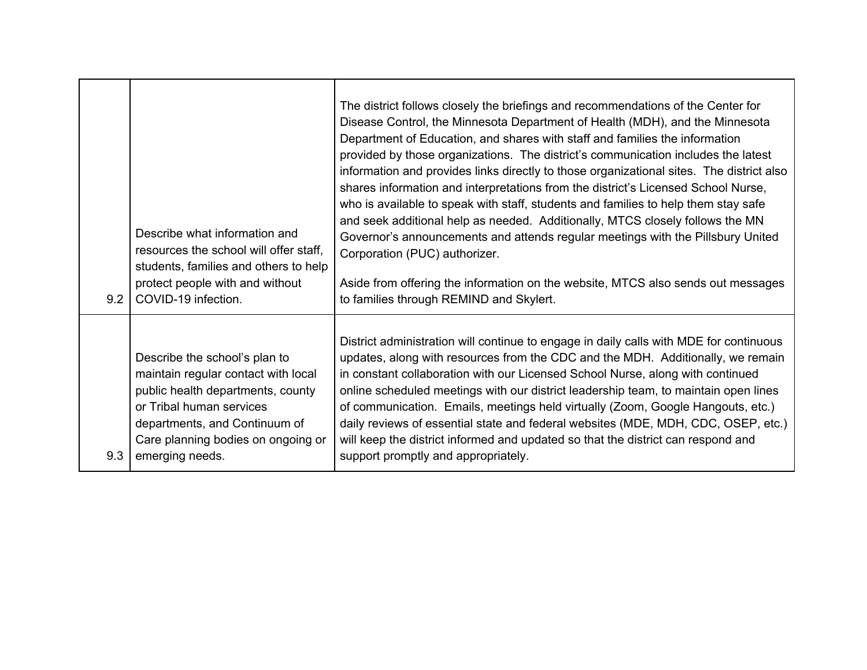| 9.2 | Describe what information and<br>resources the school will offer staff,<br>students, families and others to help<br>protect people with and without<br>COVID-19 infection.                                                      | The district follows closely the briefings and recommendations of the Center for<br>Disease Control, the Minnesota Department of Health (MDH), and the Minnesota<br>Department of Education, and shares with staff and families the information<br>provided by those organizations. The district's communication includes the latest<br>information and provides links directly to those organizational sites. The district also<br>shares information and interpretations from the district's Licensed School Nurse,<br>who is available to speak with staff, students and families to help them stay safe<br>and seek additional help as needed. Additionally, MTCS closely follows the MN<br>Governor's announcements and attends regular meetings with the Pillsbury United<br>Corporation (PUC) authorizer.<br>Aside from offering the information on the website, MTCS also sends out messages<br>to families through REMIND and Skylert. |
|-----|---------------------------------------------------------------------------------------------------------------------------------------------------------------------------------------------------------------------------------|-------------------------------------------------------------------------------------------------------------------------------------------------------------------------------------------------------------------------------------------------------------------------------------------------------------------------------------------------------------------------------------------------------------------------------------------------------------------------------------------------------------------------------------------------------------------------------------------------------------------------------------------------------------------------------------------------------------------------------------------------------------------------------------------------------------------------------------------------------------------------------------------------------------------------------------------------|
| 9.3 | Describe the school's plan to<br>maintain regular contact with local<br>public health departments, county<br>or Tribal human services<br>departments, and Continuum of<br>Care planning bodies on ongoing or<br>emerging needs. | District administration will continue to engage in daily calls with MDE for continuous<br>updates, along with resources from the CDC and the MDH. Additionally, we remain<br>in constant collaboration with our Licensed School Nurse, along with continued<br>online scheduled meetings with our district leadership team, to maintain open lines<br>of communication. Emails, meetings held virtually (Zoom, Google Hangouts, etc.)<br>daily reviews of essential state and federal websites (MDE, MDH, CDC, OSEP, etc.)<br>will keep the district informed and updated so that the district can respond and<br>support promptly and appropriately.                                                                                                                                                                                                                                                                                           |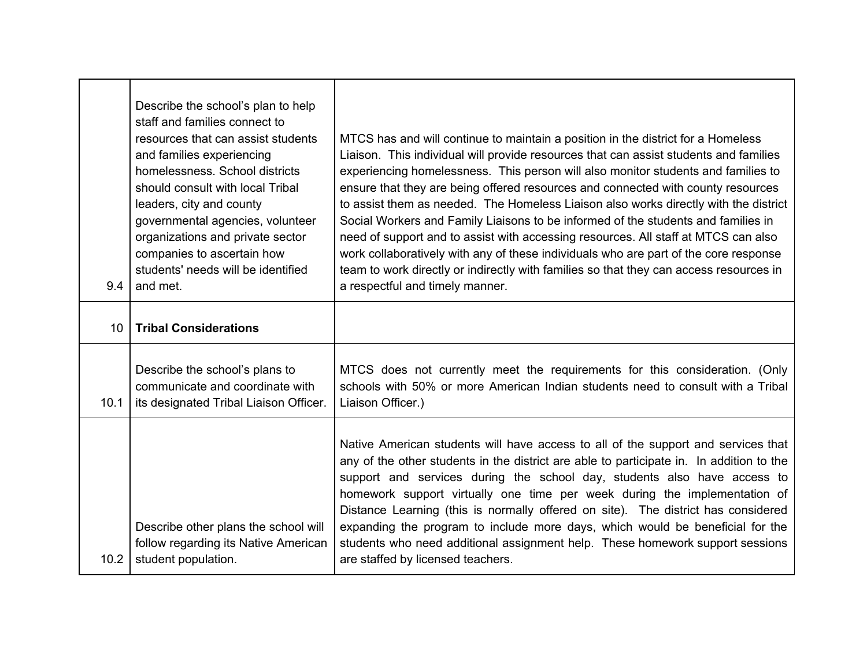| 9.4             | Describe the school's plan to help<br>staff and families connect to<br>resources that can assist students<br>and families experiencing<br>homelessness. School districts<br>should consult with local Tribal<br>leaders, city and county<br>governmental agencies, volunteer<br>organizations and private sector<br>companies to ascertain how<br>students' needs will be identified<br>and met. | MTCS has and will continue to maintain a position in the district for a Homeless<br>Liaison. This individual will provide resources that can assist students and families<br>experiencing homelessness. This person will also monitor students and families to<br>ensure that they are being offered resources and connected with county resources<br>to assist them as needed. The Homeless Liaison also works directly with the district<br>Social Workers and Family Liaisons to be informed of the students and families in<br>need of support and to assist with accessing resources. All staff at MTCS can also<br>work collaboratively with any of these individuals who are part of the core response<br>team to work directly or indirectly with families so that they can access resources in<br>a respectful and timely manner. |
|-----------------|--------------------------------------------------------------------------------------------------------------------------------------------------------------------------------------------------------------------------------------------------------------------------------------------------------------------------------------------------------------------------------------------------|--------------------------------------------------------------------------------------------------------------------------------------------------------------------------------------------------------------------------------------------------------------------------------------------------------------------------------------------------------------------------------------------------------------------------------------------------------------------------------------------------------------------------------------------------------------------------------------------------------------------------------------------------------------------------------------------------------------------------------------------------------------------------------------------------------------------------------------------|
| 10 <sup>°</sup> | <b>Tribal Considerations</b>                                                                                                                                                                                                                                                                                                                                                                     |                                                                                                                                                                                                                                                                                                                                                                                                                                                                                                                                                                                                                                                                                                                                                                                                                                            |
| 10.1            | Describe the school's plans to<br>communicate and coordinate with<br>its designated Tribal Liaison Officer.                                                                                                                                                                                                                                                                                      | MTCS does not currently meet the requirements for this consideration. (Only<br>schools with 50% or more American Indian students need to consult with a Tribal<br>Liaison Officer.)                                                                                                                                                                                                                                                                                                                                                                                                                                                                                                                                                                                                                                                        |
| 10.2            | Describe other plans the school will<br>follow regarding its Native American<br>student population.                                                                                                                                                                                                                                                                                              | Native American students will have access to all of the support and services that<br>any of the other students in the district are able to participate in. In addition to the<br>support and services during the school day, students also have access to<br>homework support virtually one time per week during the implementation of<br>Distance Learning (this is normally offered on site). The district has considered<br>expanding the program to include more days, which would be beneficial for the<br>students who need additional assignment help. These homework support sessions<br>are staffed by licensed teachers.                                                                                                                                                                                                         |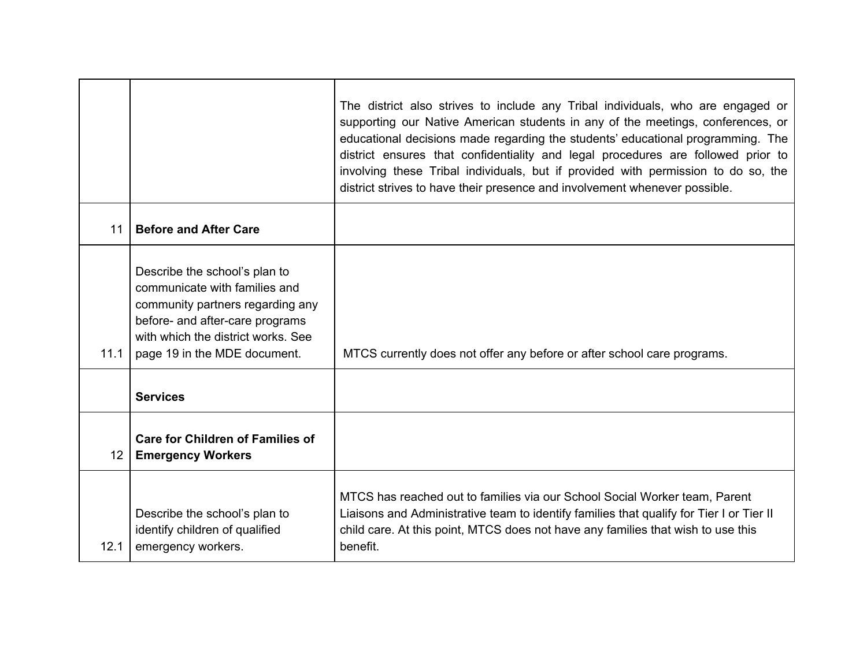|                 |                                                                                                                                                                                                             | The district also strives to include any Tribal individuals, who are engaged or<br>supporting our Native American students in any of the meetings, conferences, or<br>educational decisions made regarding the students' educational programming. The<br>district ensures that confidentiality and legal procedures are followed prior to<br>involving these Tribal individuals, but if provided with permission to do so, the<br>district strives to have their presence and involvement whenever possible. |
|-----------------|-------------------------------------------------------------------------------------------------------------------------------------------------------------------------------------------------------------|--------------------------------------------------------------------------------------------------------------------------------------------------------------------------------------------------------------------------------------------------------------------------------------------------------------------------------------------------------------------------------------------------------------------------------------------------------------------------------------------------------------|
| 11              | <b>Before and After Care</b>                                                                                                                                                                                |                                                                                                                                                                                                                                                                                                                                                                                                                                                                                                              |
| 11.1            | Describe the school's plan to<br>communicate with families and<br>community partners regarding any<br>before- and after-care programs<br>with which the district works. See<br>page 19 in the MDE document. | MTCS currently does not offer any before or after school care programs.                                                                                                                                                                                                                                                                                                                                                                                                                                      |
|                 | <b>Services</b>                                                                                                                                                                                             |                                                                                                                                                                                                                                                                                                                                                                                                                                                                                                              |
| 12 <sup>°</sup> | <b>Care for Children of Families of</b><br><b>Emergency Workers</b>                                                                                                                                         |                                                                                                                                                                                                                                                                                                                                                                                                                                                                                                              |
| 12.1            | Describe the school's plan to<br>identify children of qualified<br>emergency workers.                                                                                                                       | MTCS has reached out to families via our School Social Worker team, Parent<br>Liaisons and Administrative team to identify families that qualify for Tier I or Tier II<br>child care. At this point, MTCS does not have any families that wish to use this<br>benefit.                                                                                                                                                                                                                                       |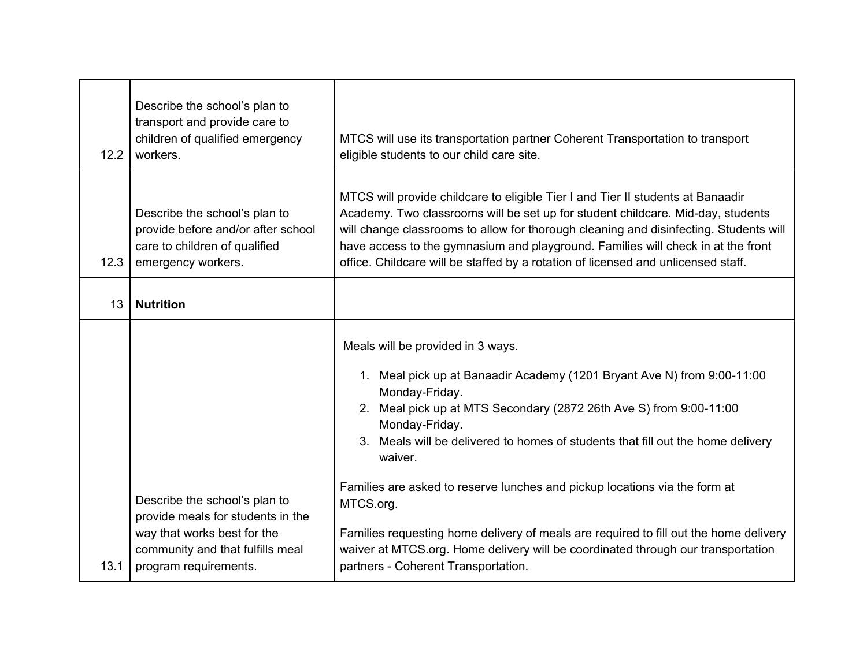| 12.2 | Describe the school's plan to<br>transport and provide care to<br>children of qualified emergency<br>workers.                                                  | MTCS will use its transportation partner Coherent Transportation to transport<br>eligible students to our child care site.                                                                                                                                                                                                                                                                                                                                                                                                                                                                                                          |
|------|----------------------------------------------------------------------------------------------------------------------------------------------------------------|-------------------------------------------------------------------------------------------------------------------------------------------------------------------------------------------------------------------------------------------------------------------------------------------------------------------------------------------------------------------------------------------------------------------------------------------------------------------------------------------------------------------------------------------------------------------------------------------------------------------------------------|
| 12.3 | Describe the school's plan to<br>provide before and/or after school<br>care to children of qualified<br>emergency workers.                                     | MTCS will provide childcare to eligible Tier I and Tier II students at Banaadir<br>Academy. Two classrooms will be set up for student childcare. Mid-day, students<br>will change classrooms to allow for thorough cleaning and disinfecting. Students will<br>have access to the gymnasium and playground. Families will check in at the front<br>office. Childcare will be staffed by a rotation of licensed and unlicensed staff.                                                                                                                                                                                                |
| 13   | <b>Nutrition</b>                                                                                                                                               |                                                                                                                                                                                                                                                                                                                                                                                                                                                                                                                                                                                                                                     |
| 13.1 | Describe the school's plan to<br>provide meals for students in the<br>way that works best for the<br>community and that fulfills meal<br>program requirements. | Meals will be provided in 3 ways.<br>1. Meal pick up at Banaadir Academy (1201 Bryant Ave N) from 9:00-11:00<br>Monday-Friday.<br>2. Meal pick up at MTS Secondary (2872 26th Ave S) from 9:00-11:00<br>Monday-Friday.<br>3. Meals will be delivered to homes of students that fill out the home delivery<br>waiver.<br>Families are asked to reserve lunches and pickup locations via the form at<br>MTCS.org.<br>Families requesting home delivery of meals are required to fill out the home delivery<br>waiver at MTCS.org. Home delivery will be coordinated through our transportation<br>partners - Coherent Transportation. |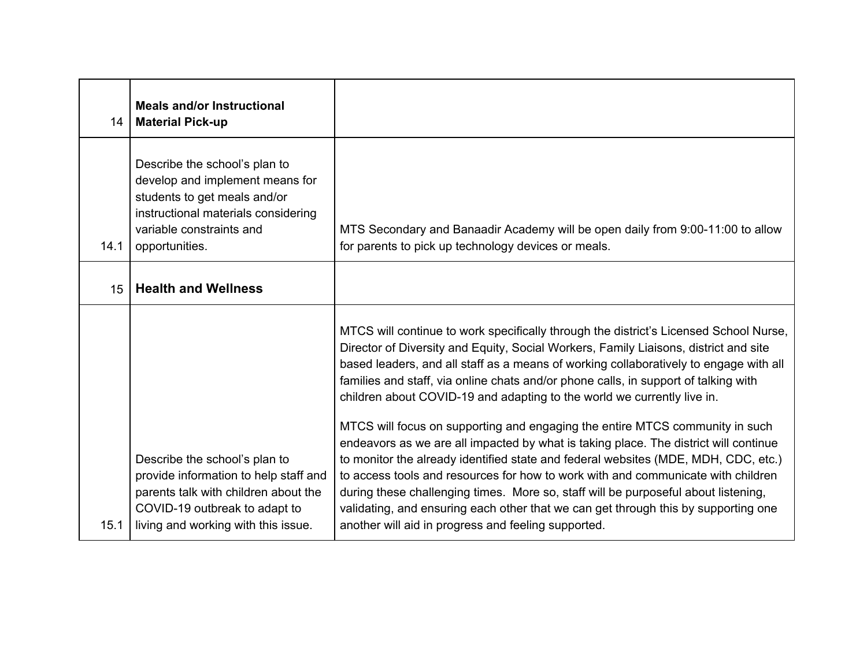| 14   | <b>Meals and/or Instructional</b><br><b>Material Pick-up</b>                                                                                                                           |                                                                                                                                                                                                                                                                                                                                                                                                                                                                                                                                                                                                                                                                                                                                                                                                                                                                                                                                                                                                                               |
|------|----------------------------------------------------------------------------------------------------------------------------------------------------------------------------------------|-------------------------------------------------------------------------------------------------------------------------------------------------------------------------------------------------------------------------------------------------------------------------------------------------------------------------------------------------------------------------------------------------------------------------------------------------------------------------------------------------------------------------------------------------------------------------------------------------------------------------------------------------------------------------------------------------------------------------------------------------------------------------------------------------------------------------------------------------------------------------------------------------------------------------------------------------------------------------------------------------------------------------------|
| 14.1 | Describe the school's plan to<br>develop and implement means for<br>students to get meals and/or<br>instructional materials considering<br>variable constraints and<br>opportunities.  | MTS Secondary and Banaadir Academy will be open daily from 9:00-11:00 to allow<br>for parents to pick up technology devices or meals.                                                                                                                                                                                                                                                                                                                                                                                                                                                                                                                                                                                                                                                                                                                                                                                                                                                                                         |
| 15   | <b>Health and Wellness</b>                                                                                                                                                             |                                                                                                                                                                                                                                                                                                                                                                                                                                                                                                                                                                                                                                                                                                                                                                                                                                                                                                                                                                                                                               |
| 15.1 | Describe the school's plan to<br>provide information to help staff and<br>parents talk with children about the<br>COVID-19 outbreak to adapt to<br>living and working with this issue. | MTCS will continue to work specifically through the district's Licensed School Nurse,<br>Director of Diversity and Equity, Social Workers, Family Liaisons, district and site<br>based leaders, and all staff as a means of working collaboratively to engage with all<br>families and staff, via online chats and/or phone calls, in support of talking with<br>children about COVID-19 and adapting to the world we currently live in.<br>MTCS will focus on supporting and engaging the entire MTCS community in such<br>endeavors as we are all impacted by what is taking place. The district will continue<br>to monitor the already identified state and federal websites (MDE, MDH, CDC, etc.)<br>to access tools and resources for how to work with and communicate with children<br>during these challenging times. More so, staff will be purposeful about listening,<br>validating, and ensuring each other that we can get through this by supporting one<br>another will aid in progress and feeling supported. |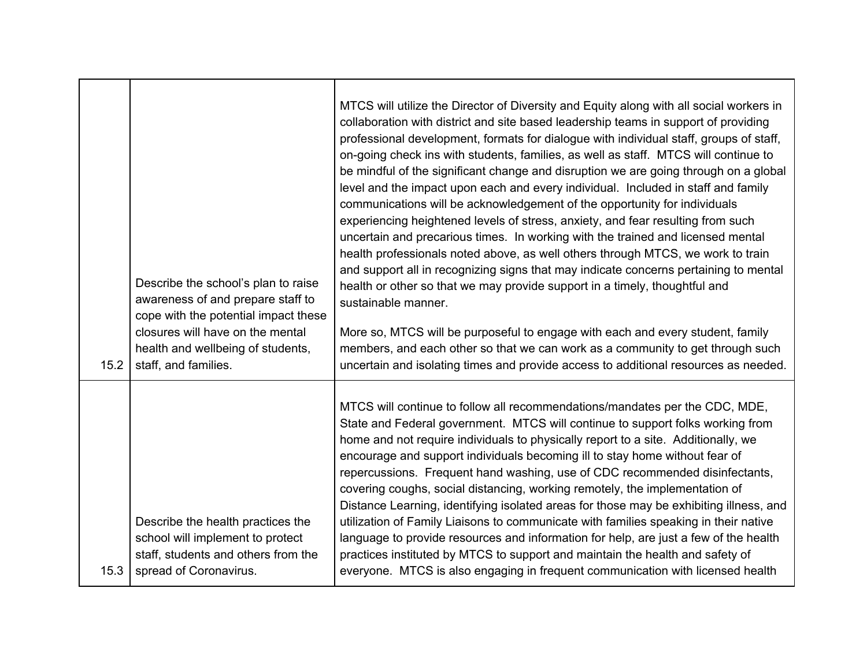| 15.2 | Describe the school's plan to raise<br>awareness of and prepare staff to<br>cope with the potential impact these<br>closures will have on the mental<br>health and wellbeing of students,<br>staff, and families. | MTCS will utilize the Director of Diversity and Equity along with all social workers in<br>collaboration with district and site based leadership teams in support of providing<br>professional development, formats for dialogue with individual staff, groups of staff,<br>on-going check ins with students, families, as well as staff. MTCS will continue to<br>be mindful of the significant change and disruption we are going through on a global<br>level and the impact upon each and every individual. Included in staff and family<br>communications will be acknowledgement of the opportunity for individuals<br>experiencing heightened levels of stress, anxiety, and fear resulting from such<br>uncertain and precarious times. In working with the trained and licensed mental<br>health professionals noted above, as well others through MTCS, we work to train<br>and support all in recognizing signs that may indicate concerns pertaining to mental<br>health or other so that we may provide support in a timely, thoughtful and<br>sustainable manner.<br>More so, MTCS will be purposeful to engage with each and every student, family<br>members, and each other so that we can work as a community to get through such<br>uncertain and isolating times and provide access to additional resources as needed. |
|------|-------------------------------------------------------------------------------------------------------------------------------------------------------------------------------------------------------------------|--------------------------------------------------------------------------------------------------------------------------------------------------------------------------------------------------------------------------------------------------------------------------------------------------------------------------------------------------------------------------------------------------------------------------------------------------------------------------------------------------------------------------------------------------------------------------------------------------------------------------------------------------------------------------------------------------------------------------------------------------------------------------------------------------------------------------------------------------------------------------------------------------------------------------------------------------------------------------------------------------------------------------------------------------------------------------------------------------------------------------------------------------------------------------------------------------------------------------------------------------------------------------------------------------------------------------------------------|
| 15.3 | Describe the health practices the<br>school will implement to protect<br>staff, students and others from the<br>spread of Coronavirus.                                                                            | MTCS will continue to follow all recommendations/mandates per the CDC, MDE,<br>State and Federal government. MTCS will continue to support folks working from<br>home and not require individuals to physically report to a site. Additionally, we<br>encourage and support individuals becoming ill to stay home without fear of<br>repercussions. Frequent hand washing, use of CDC recommended disinfectants,<br>covering coughs, social distancing, working remotely, the implementation of<br>Distance Learning, identifying isolated areas for those may be exhibiting illness, and<br>utilization of Family Liaisons to communicate with families speaking in their native<br>language to provide resources and information for help, are just a few of the health<br>practices instituted by MTCS to support and maintain the health and safety of<br>everyone. MTCS is also engaging in frequent communication with licensed health                                                                                                                                                                                                                                                                                                                                                                                               |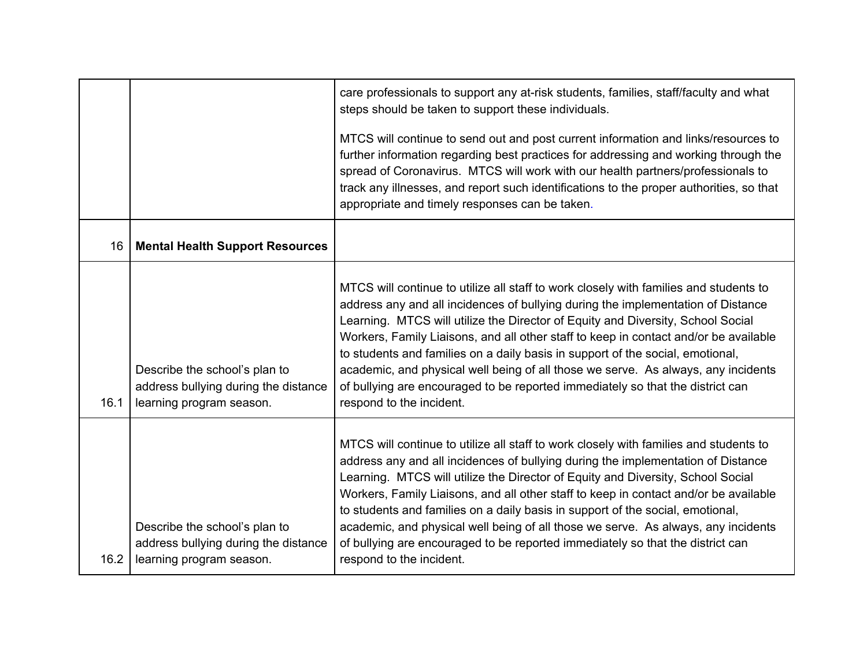|      |                                                                                                   | care professionals to support any at-risk students, families, staff/faculty and what<br>steps should be taken to support these individuals.<br>MTCS will continue to send out and post current information and links/resources to<br>further information regarding best practices for addressing and working through the<br>spread of Coronavirus. MTCS will work with our health partners/professionals to<br>track any illnesses, and report such identifications to the proper authorities, so that<br>appropriate and timely responses can be taken.                                                                                  |
|------|---------------------------------------------------------------------------------------------------|-------------------------------------------------------------------------------------------------------------------------------------------------------------------------------------------------------------------------------------------------------------------------------------------------------------------------------------------------------------------------------------------------------------------------------------------------------------------------------------------------------------------------------------------------------------------------------------------------------------------------------------------|
| 16   | <b>Mental Health Support Resources</b>                                                            |                                                                                                                                                                                                                                                                                                                                                                                                                                                                                                                                                                                                                                           |
| 16.1 | Describe the school's plan to<br>address bullying during the distance<br>learning program season. | MTCS will continue to utilize all staff to work closely with families and students to<br>address any and all incidences of bullying during the implementation of Distance<br>Learning. MTCS will utilize the Director of Equity and Diversity, School Social<br>Workers, Family Liaisons, and all other staff to keep in contact and/or be available<br>to students and families on a daily basis in support of the social, emotional,<br>academic, and physical well being of all those we serve. As always, any incidents<br>of bullying are encouraged to be reported immediately so that the district can<br>respond to the incident. |
| 16.2 | Describe the school's plan to<br>address bullying during the distance<br>learning program season. | MTCS will continue to utilize all staff to work closely with families and students to<br>address any and all incidences of bullying during the implementation of Distance<br>Learning. MTCS will utilize the Director of Equity and Diversity, School Social<br>Workers, Family Liaisons, and all other staff to keep in contact and/or be available<br>to students and families on a daily basis in support of the social, emotional,<br>academic, and physical well being of all those we serve. As always, any incidents<br>of bullying are encouraged to be reported immediately so that the district can<br>respond to the incident. |